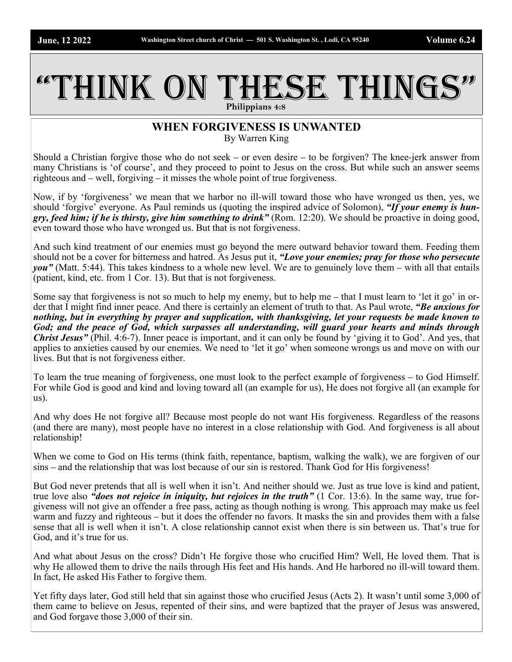## THINK ON THESE THINGS **Philippians 4:8**

## **WHEN FORGIVENESS IS UNWANTED** By Warren King

Should a Christian forgive those who do not seek – or even desire – to be forgiven? The knee-jerk answer from many Christians is 'of course', and they proceed to point to Jesus on the cross. But while such an answer seems righteous and – well, forgiving – it misses the whole point of true forgiveness.

Now, if by 'forgiveness' we mean that we harbor no ill-will toward those who have wronged us then, yes, we should 'forgive' everyone. As Paul reminds us (quoting the inspired advice of Solomon), *"If your enemy is hungry, feed him; if he is thirsty, give him something to drink"* (Rom. 12:20). We should be proactive in doing good, even toward those who have wronged us. But that is not forgiveness.

And such kind treatment of our enemies must go beyond the mere outward behavior toward them. Feeding them should not be a cover for bitterness and hatred. As Jesus put it, *"Love your enemies; pray for those who persecute you"* (Matt. 5:44). This takes kindness to a whole new level. We are to genuinely love them – with all that entails (patient, kind, etc. from 1 Cor. 13). But that is not forgiveness.

Some say that forgiveness is not so much to help my enemy, but to help me – that I must learn to 'let it go' in order that I might find inner peace. And there is certainly an element of truth to that. As Paul wrote, *"Be anxious for nothing, but in everything by prayer and supplication, with thanksgiving, let your requests be made known to God; and the peace of God, which surpasses all understanding, will guard your hearts and minds through Christ Jesus"* (Phil. 4:6-7). Inner peace is important, and it can only be found by 'giving it to God'. And yes, that applies to anxieties caused by our enemies. We need to 'let it go' when someone wrongs us and move on with our lives. But that is not forgiveness either.

To learn the true meaning of forgiveness, one must look to the perfect example of forgiveness – to God Himself. For while God is good and kind and loving toward all (an example for us), He does not forgive all (an example for us).

And why does He not forgive all? Because most people do not want His forgiveness. Regardless of the reasons (and there are many), most people have no interest in a close relationship with God. And forgiveness is all about relationship!

When we come to God on His terms (think faith, repentance, baptism, walking the walk), we are forgiven of our sins – and the relationship that was lost because of our sin is restored. Thank God for His forgiveness!

But God never pretends that all is well when it isn't. And neither should we. Just as true love is kind and patient, true love also *"does not rejoice in iniquity, but rejoices in the truth"* (1 Cor. 13:6). In the same way, true forgiveness will not give an offender a free pass, acting as though nothing is wrong. This approach may make us feel warm and fuzzy and righteous – but it does the offender no favors. It masks the sin and provides them with a false sense that all is well when it isn't. A close relationship cannot exist when there is sin between us. That's true for God, and it's true for us.

And what about Jesus on the cross? Didn't He forgive those who crucified Him? Well, He loved them. That is why He allowed them to drive the nails through His feet and His hands. And He harbored no ill-will toward them. In fact, He asked His Father to forgive them.

Yet fifty days later, God still held that sin against those who crucified Jesus (Acts 2). It wasn't until some 3,000 of them came to believe on Jesus, repented of their sins, and were baptized that the prayer of Jesus was answered, and God forgave those 3,000 of their sin.